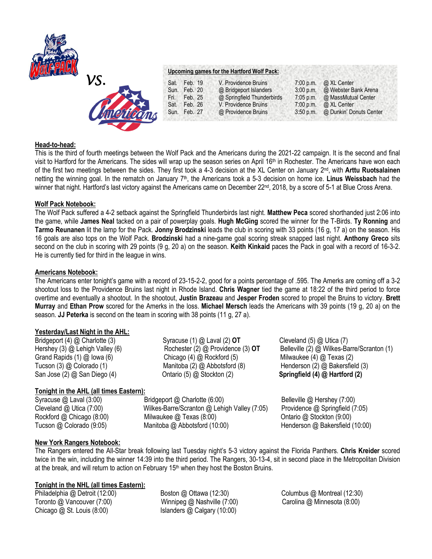



### **Upcoming games for the Hartford Wolf Pack:**

|                  | Sat. Feb. 19<br>Sun. Feb. 20 | V. Providence Bruins<br>@ Bridgeport Islanders | 3:00 p.m.   | 7:00 p.m. $\omega$ XL Center<br>@ Webster Bank Arena |
|------------------|------------------------------|------------------------------------------------|-------------|------------------------------------------------------|
|                  | Fri. Feb. 25                 | @ Springfield Thunderbirds                     | $7:05$ p.m. | @ MassMutual Center                                  |
| <b>Tractions</b> | Sat. Feb. 26<br>Sun. Feb. 27 | V. Providence Bruins<br>@ Providence Bruins    | 7:00 p.m.   | @ XL Center<br>3:50 p.m. @ Dunkin' Donuts Center     |
|                  |                              |                                                |             |                                                      |

## **Head-to-head:**

This is the third of fourth meetings between the Wolf Pack and the Americans during the 2021-22 campaign. It is the second and final visit to Hartford for the Americans. The sides will wrap up the season series on April 16<sup>th</sup> in Rochester. The Americans have won each of the first two meetings between the sides. They first took a 4-3 decision at the XL Center on January 2nd, with **Arttu Ruotsalainen**  netting the winning goal. In the rematch on January 7th, the Americans took a 5-3 decision on home ice. **Linus Weissbach** had the winner that night. Hartford's last victory against the Americans came on December 22<sup>nd</sup>, 2018, by a score of 5-1 at Blue Cross Arena.

## **Wolf Pack Notebook:**

The Wolf Pack suffered a 4-2 setback against the Springfield Thunderbirds last night. **Matthew Peca** scored shorthanded just 2:06 into the game, while **James Neal** tacked on a pair of powerplay goals. **Hugh McGing** scored the winner for the T-Birds. **Ty Ronning** and **Tarmo Reunanen** lit the lamp for the Pack. **Jonny Brodzinski** leads the club in scoring with 33 points (16 g, 17 a) on the season. His 16 goals are also tops on the Wolf Pack. **Brodzinski** had a nine-game goal scoring streak snapped last night. **Anthony Greco** sits second on the club in scoring with 29 points (9 g, 20 a) on the season. **Keith Kinkaid** paces the Pack in goal with a record of 16-3-2. He is currently tied for third in the league in wins.

## **Americans Notebook:**

The Americans enter tonight's game with a record of 23-15-2-2, good for a points percentage of .595. The Amerks are coming off a 3-2 shootout loss to the Providence Bruins last night in Rhode Island. **Chris Wagner** tied the game at 18:22 of the third period to force overtime and eventually a shootout. In the shootout, **Justin Brazeau** and **Jesper Froden** scored to propel the Bruins to victory. **Brett Murray** and **Ethan Prow** scored for the Amerks in the loss. **Michael Mersch** leads the Americans with 39 points (19 g, 20 a) on the season. **JJ Peterka** is second on the team in scoring with 38 points (11 g, 27 a).

### **Yesterday/Last Night in the AHL:**

# **Tonight in the AHL (all times Eastern):**

Syracuse @ Laval (3:00) Bridgeport @ Charlotte (6:00) Belleville @ Hershey (7:00) Cleveland @ Utica (7:00) Wilkes-Barre/Scranton @ Lehigh Valley (7:05) Providence @ Springfield (7:05) Rockford @ Chicago (8:00) Milwaukee @ Texas (8:00) Chiario @ Stockton (9:00) Tucson @ Colorado (9:05) Manitoba @ Abbotsford (10:00) Henderson @ Bakersfield (10:00)

Bridgeport (4) @ Charlotte (3) Syracuse (1) @ Laval (2) **OT** Cleveland (5) @ Utica (7) Grand Rapids (1) @ Iowa (6) Chicago (4) @ Rockford (5) Milwaukee (4) @ Texas (2) Tucson (3) @ Colorado (1) Manitoba (2) @ Abbotsford (8) Henderson (2) @ Bakersfield (3) San Jose (2) @ San Diego (4) Ontario (5) @ Stockton (2) **Springfield (4) @ Hartford (2)**

Hershey (3) @ Lehigh Valley (6) Rochester (2) @ Providence (3) **OT** Belleville (2) @ Wilkes-Barre/Scranton (1)

# **New York Rangers Notebook:**

The Rangers entered the All-Star break following last Tuesday night's 5-3 victory against the Florida Panthers. **Chris Kreider** scored twice in the win, including the winner 14:39 into the third period. The Rangers, 30-13-4, sit in second place in the Metropolitan Division at the break, and will return to action on February 15<sup>th</sup> when they host the Boston Bruins.

# **Tonight in the NHL (all times Eastern):**

Philadelphia @ Detroit (12:00) Boston @ Ottawa (12:30) Columbus @ Montreal (12:30) Toronto @ Vancouver (7:00) Winnipeg @ Nashville (7:00) Carolina @ Minnesota (8:00) Chicago @ St. Louis (8:00) Islanders @ Calgary (10:00)